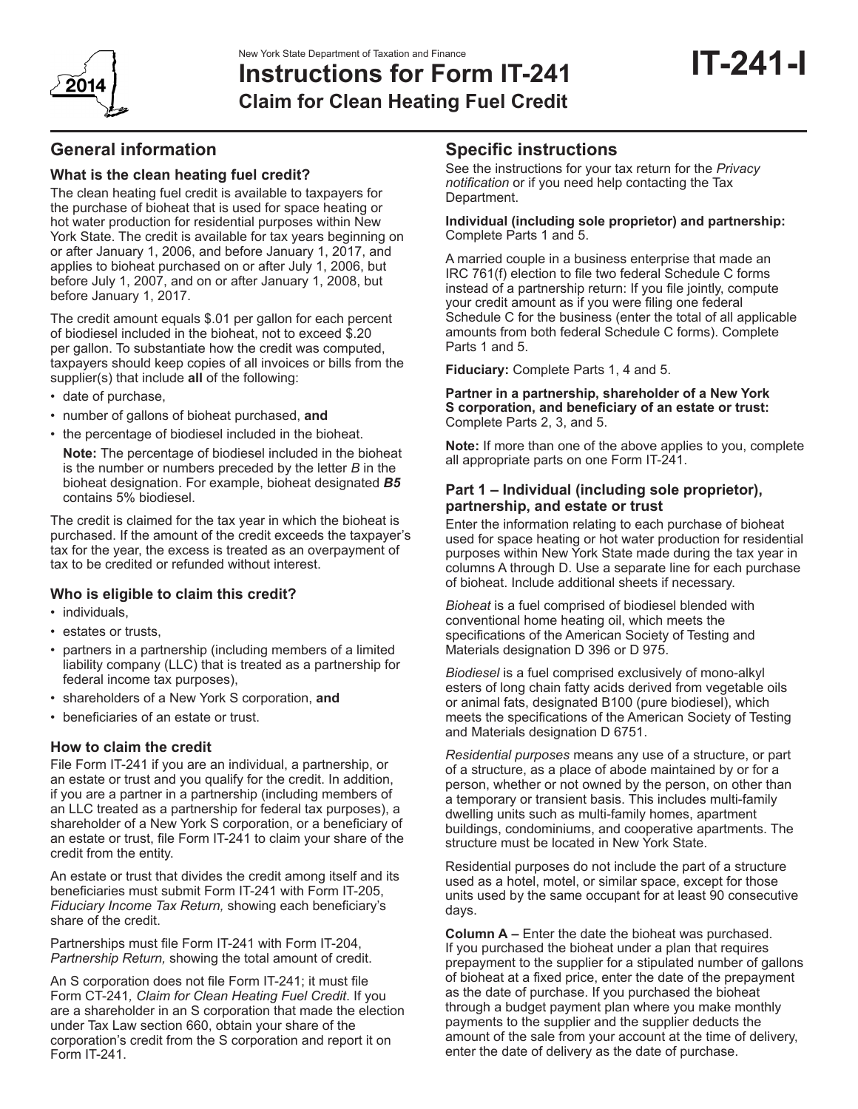

# **Instructions for Form IT-241 Claim for Clean Heating Fuel Credit**

# **General information**

## **What is the clean heating fuel credit?**

The clean heating fuel credit is available to taxpayers for the purchase of bioheat that is used for space heating or hot water production for residential purposes within New York State. The credit is available for tax years beginning on or after January 1, 2006, and before January 1, 2017, and applies to bioheat purchased on or after July 1, 2006, but before July 1, 2007, and on or after January 1, 2008, but before January 1, 2017.

The credit amount equals \$.01 per gallon for each percent of biodiesel included in the bioheat, not to exceed \$.20 per gallon. To substantiate how the credit was computed, taxpayers should keep copies of all invoices or bills from the supplier(s) that include **all** of the following:

- • date of purchase,
- • number of gallons of bioheat purchased, **and**
- the percentage of biodiesel included in the bioheat.

**Note:** The percentage of biodiesel included in the bioheat is the number or numbers preceded by the letter *B* in the bioheat designation. For example, bioheat designated *B5* contains 5% biodiesel.

The credit is claimed for the tax year in which the bioheat is purchased. If the amount of the credit exceeds the taxpayer's tax for the year, the excess is treated as an overpayment of tax to be credited or refunded without interest.

### **Who is eligible to claim this credit?**

- individuals
- • estates or trusts,
- partners in a partnership (including members of a limited liability company (LLC) that is treated as a partnership for federal income tax purposes),
- • shareholders of a New York S corporation, **and**
- • beneficiaries of an estate or trust.

### **How to claim the credit**

File Form IT-241 if you are an individual, a partnership, or an estate or trust and you qualify for the credit. In addition, if you are a partner in a partnership (including members of an LLC treated as a partnership for federal tax purposes), a shareholder of a New York S corporation, or a beneficiary of an estate or trust, file Form IT-241 to claim your share of the credit from the entity.

An estate or trust that divides the credit among itself and its beneficiaries must submit Form IT-241 with Form IT-205, *Fiduciary Income Tax Return,* showing each beneficiary's share of the credit.

Partnerships must file Form IT-241 with Form IT‑204, *Partnership Return,* showing the total amount of credit.

An S corporation does not file Form IT-241; it must file Form CT-241*, Claim for Clean Heating Fuel Credit*. If you are a shareholder in an S corporation that made the election under Tax Law section 660, obtain your share of the corporation's credit from the S corporation and report it on Form IT-241.

# **Specific instructions**

See the instructions for your tax return for the *Privacy notification* or if you need help contacting the Tax Department.

#### **Individual (including sole proprietor) and partnership:** Complete Parts 1 and 5.

A married couple in a business enterprise that made an IRC 761(f) election to file two federal Schedule C forms instead of a partnership return: If you file jointly, compute your credit amount as if you were filing one federal Schedule C for the business (enter the total of all applicable amounts from both federal Schedule C forms). Complete Parts 1 and 5.

**Fiduciary:** Complete Parts 1, 4 and 5.

#### **Partner in a partnership, shareholder of a New York S corporation, and beneficiary of an estate or trust:** Complete Parts 2, 3, and 5.

**Note:** If more than one of the above applies to you, complete all appropriate parts on one Form IT-241.

### **Part 1 – Individual (including sole proprietor), partnership, and estate or trust**

Enter the information relating to each purchase of bioheat used for space heating or hot water production for residential purposes within New York State made during the tax year in columns A through D. Use a separate line for each purchase of bioheat. Include additional sheets if necessary.

*Bioheat* is a fuel comprised of biodiesel blended with conventional home heating oil, which meets the specifications of the American Society of Testing and Materials designation D 396 or D 975.

*Biodiesel* is a fuel comprised exclusively of mono-alkyl esters of long chain fatty acids derived from vegetable oils or animal fats, designated B100 (pure biodiesel), which meets the specifications of the American Society of Testing and Materials designation D 6751.

*Residential purposes* means any use of a structure, or part of a structure, as a place of abode maintained by or for a person, whether or not owned by the person, on other than a temporary or transient basis. This includes multi-family dwelling units such as multi-family homes, apartment buildings, condominiums, and cooperative apartments. The structure must be located in New York State.

Residential purposes do not include the part of a structure used as a hotel, motel, or similar space, except for those units used by the same occupant for at least 90 consecutive days.

**Column A –** Enter the date the bioheat was purchased. If you purchased the bioheat under a plan that requires prepayment to the supplier for a stipulated number of gallons of bioheat at a fixed price, enter the date of the prepayment as the date of purchase. If you purchased the bioheat through a budget payment plan where you make monthly payments to the supplier and the supplier deducts the amount of the sale from your account at the time of delivery, enter the date of delivery as the date of purchase.